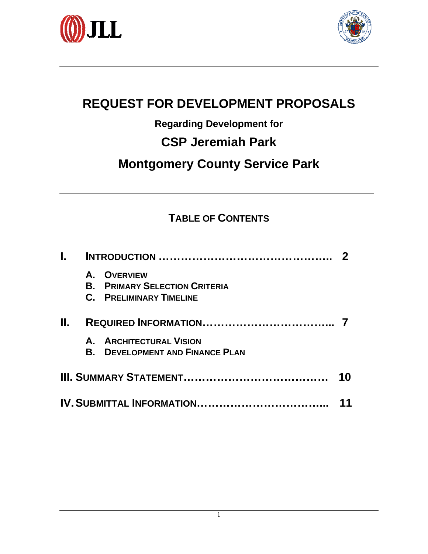



# **REQUEST FOR DEVELOPMENT PROPOSALS**

## **Regarding Development for**

# **CSP Jeremiah Park**

# **Montgomery County Service Park**

## **TABLE OF CONTENTS**

|  | A. OVERVIEW<br><b>B. PRIMARY SELECTION CRITERIA</b><br><b>C. PRELIMINARY TIMELINE</b> |  |  |  |
|--|---------------------------------------------------------------------------------------|--|--|--|
|  |                                                                                       |  |  |  |
|  | A. ARCHITECTURAL VISION<br><b>B. DEVELOPMENT AND FINANCE PLAN</b>                     |  |  |  |
|  |                                                                                       |  |  |  |
|  | IV. SUBMITTAL INFORMATION                                                             |  |  |  |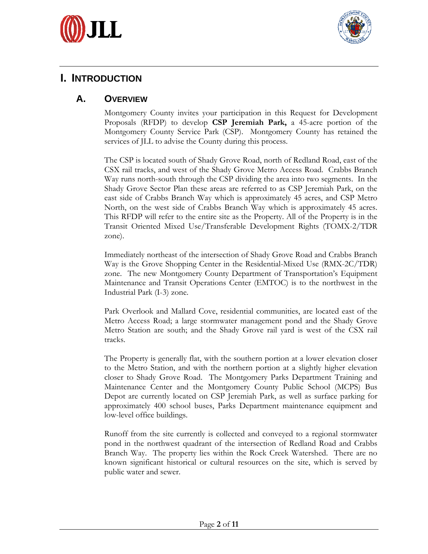



## **I. INTRODUCTION**

### **A. OVERVIEW**

Montgomery County invites your participation in this Request for Development Proposals (RFDP) to develop **CSP Jeremiah Park,** a 45-acre portion of the Montgomery County Service Park (CSP). Montgomery County has retained the services of JLL to advise the County during this process.

The CSP is located south of Shady Grove Road, north of Redland Road, east of the CSX rail tracks, and west of the Shady Grove Metro Access Road. Crabbs Branch Way runs north-south through the CSP dividing the area into two segments. In the Shady Grove Sector Plan these areas are referred to as CSP Jeremiah Park, on the east side of Crabbs Branch Way which is approximately 45 acres, and CSP Metro North, on the west side of Crabbs Branch Way which is approximately 45 acres. This RFDP will refer to the entire site as the Property. All of the Property is in the Transit Oriented Mixed Use/Transferable Development Rights (TOMX-2/TDR zone).

Immediately northeast of the intersection of Shady Grove Road and Crabbs Branch Way is the Grove Shopping Center in the Residential-Mixed Use (RMX-2C/TDR) zone. The new Montgomery County Department of Transportation's Equipment Maintenance and Transit Operations Center (EMTOC) is to the northwest in the Industrial Park (I-3) zone.

Park Overlook and Mallard Cove, residential communities, are located east of the Metro Access Road; a large stormwater management pond and the Shady Grove Metro Station are south; and the Shady Grove rail yard is west of the CSX rail tracks.

The Property is generally flat, with the southern portion at a lower elevation closer to the Metro Station, and with the northern portion at a slightly higher elevation closer to Shady Grove Road. The Montgomery Parks Department Training and Maintenance Center and the Montgomery County Public School (MCPS) Bus Depot are currently located on CSP Jeremiah Park, as well as surface parking for approximately 400 school buses, Parks Department maintenance equipment and low-level office buildings.

Runoff from the site currently is collected and conveyed to a regional stormwater pond in the northwest quadrant of the intersection of Redland Road and Crabbs Branch Way. The property lies within the Rock Creek Watershed. There are no known significant historical or cultural resources on the site, which is served by public water and sewer.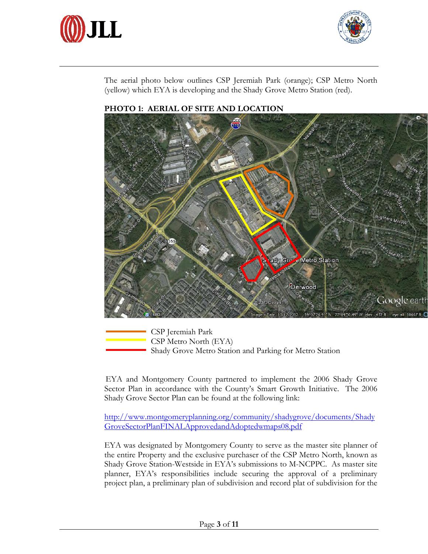



The aerial photo below outlines CSP Jeremiah Park (orange); CSP Metro North (yellow) which EYA is developing and the Shady Grove Metro Station (red).



#### **PHOTO 1: AERIAL OF SITE AND LOCATION**

 CSP Jeremiah Park CSP Metro North (EYA) Shady Grove Metro Station and Parking for Metro Station

EYA and Montgomery County partnered to implement the 2006 Shady Grove Sector Plan in accordance with the County's Smart Growth Initiative. The 2006 Shady Grove Sector Plan can be found at the following link:

http://www.montgomeryplanning.org/community/shadygrove/documents/Shady GroveSectorPlanFINALApprovedandAdoptedwmaps08.pdf

EYA was designated by Montgomery County to serve as the master site planner of the entire Property and the exclusive purchaser of the CSP Metro North, known as Shady Grove Station-Westside in EYA's submissions to M-NCPPC. As master site planner, EYA's responsibilities include securing the approval of a preliminary project plan, a preliminary plan of subdivision and record plat of subdivision for the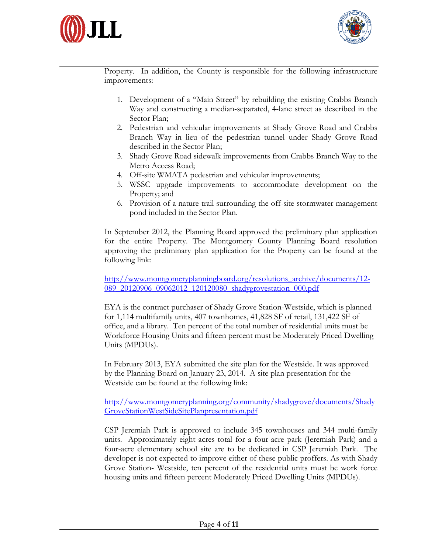



Property. In addition, the County is responsible for the following infrastructure improvements:

- 1. Development of a "Main Street" by rebuilding the existing Crabbs Branch Way and constructing a median-separated, 4-lane street as described in the Sector Plan;
- 2. Pedestrian and vehicular improvements at Shady Grove Road and Crabbs Branch Way in lieu of the pedestrian tunnel under Shady Grove Road described in the Sector Plan;
- 3. Shady Grove Road sidewalk improvements from Crabbs Branch Way to the Metro Access Road;
- 4. Off-site WMATA pedestrian and vehicular improvements;
- 5. WSSC upgrade improvements to accommodate development on the Property; and
- 6. Provision of a nature trail surrounding the off-site stormwater management pond included in the Sector Plan.

In September 2012, the Planning Board approved the preliminary plan application for the entire Property. The Montgomery County Planning Board resolution approving the preliminary plan application for the Property can be found at the following link:

http://www.montgomeryplanningboard.org/resolutions\_archive/documents/12- 089\_20120906\_09062012\_120120080\_shadygrovestation\_000.pdf

EYA is the contract purchaser of Shady Grove Station-Westside, which is planned for 1,114 multifamily units, 407 townhomes, 41,828 SF of retail, 131,422 SF of office, and a library. Ten percent of the total number of residential units must be Workforce Housing Units and fifteen percent must be Moderately Priced Dwelling Units (MPDUs).

In February 2013, EYA submitted the site plan for the Westside. It was approved by the Planning Board on January 23, 2014. A site plan presentation for the Westside can be found at the following link:

http://www.montgomeryplanning.org/community/shadygrove/documents/Shady GroveStationWestSideSitePlanpresentation.pdf

CSP Jeremiah Park is approved to include 345 townhouses and 344 multi-family units. Approximately eight acres total for a four-acre park (Jeremiah Park) and a four-acre elementary school site are to be dedicated in CSP Jeremiah Park. The developer is not expected to improve either of these public proffers. As with Shady Grove Station- Westside, ten percent of the residential units must be work force housing units and fifteen percent Moderately Priced Dwelling Units (MPDUs).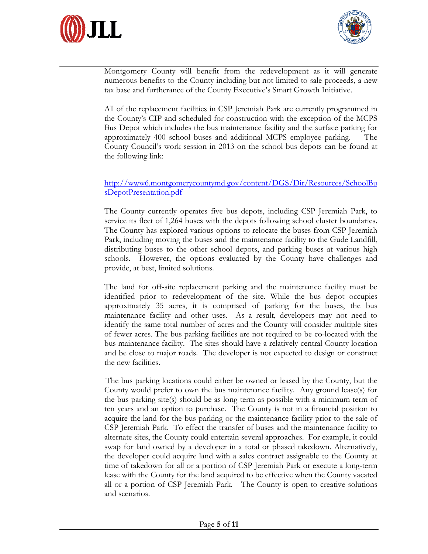



Montgomery County will benefit from the redevelopment as it will generate numerous benefits to the County including but not limited to sale proceeds, a new tax base and furtherance of the County Executive's Smart Growth Initiative.

All of the replacement facilities in CSP Jeremiah Park are currently programmed in the County's CIP and scheduled for construction with the exception of the MCPS Bus Depot which includes the bus maintenance facility and the surface parking for approximately 400 school buses and additional MCPS employee parking. The County Council's work session in 2013 on the school bus depots can be found at the following link:

#### http://www6.montgomerycountymd.gov/content/DGS/Dir/Resources/SchoolBu sDepotPresentation.pdf

The County currently operates five bus depots, including CSP Jeremiah Park, to service its fleet of 1,264 buses with the depots following school cluster boundaries. The County has explored various options to relocate the buses from CSP Jeremiah Park, including moving the buses and the maintenance facility to the Gude Landfill, distributing buses to the other school depots, and parking buses at various high schools. However, the options evaluated by the County have challenges and provide, at best, limited solutions.

The land for off-site replacement parking and the maintenance facility must be identified prior to redevelopment of the site. While the bus depot occupies approximately 35 acres, it is comprised of parking for the buses, the bus maintenance facility and other uses. As a result, developers may not need to identify the same total number of acres and the County will consider multiple sites of fewer acres. The bus parking facilities are not required to be co-located with the bus maintenance facility. The sites should have a relatively central-County location and be close to major roads. The developer is not expected to design or construct the new facilities.

The bus parking locations could either be owned or leased by the County, but the County would prefer to own the bus maintenance facility. Any ground lease(s) for the bus parking site(s) should be as long term as possible with a minimum term of ten years and an option to purchase. The County is not in a financial position to acquire the land for the bus parking or the maintenance facility prior to the sale of CSP Jeremiah Park. To effect the transfer of buses and the maintenance facility to alternate sites, the County could entertain several approaches. For example, it could swap for land owned by a developer in a total or phased takedown. Alternatively, the developer could acquire land with a sales contract assignable to the County at time of takedown for all or a portion of CSP Jeremiah Park or execute a long-term lease with the County for the land acquired to be effective when the County vacated all or a portion of CSP Jeremiah Park. The County is open to creative solutions and scenarios.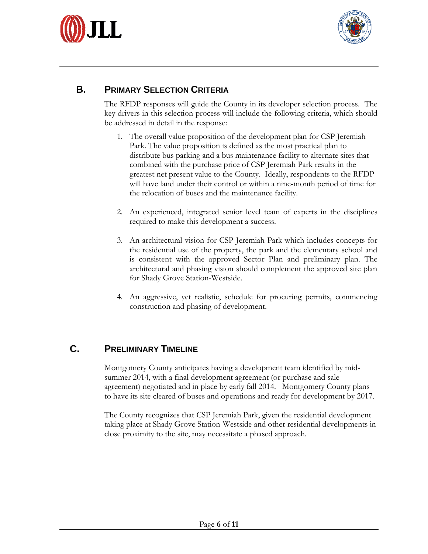



## **B. PRIMARY SELECTION CRITERIA**

The RFDP responses will guide the County in its developer selection process. The key drivers in this selection process will include the following criteria, which should be addressed in detail in the response:

- 1. The overall value proposition of the development plan for CSP Jeremiah Park. The value proposition is defined as the most practical plan to distribute bus parking and a bus maintenance facility to alternate sites that combined with the purchase price of CSP Jeremiah Park results in the greatest net present value to the County. Ideally, respondents to the RFDP will have land under their control or within a nine-month period of time for the relocation of buses and the maintenance facility.
- 2. An experienced, integrated senior level team of experts in the disciplines required to make this development a success.
- 3. An architectural vision for CSP Jeremiah Park which includes concepts for the residential use of the property, the park and the elementary school and is consistent with the approved Sector Plan and preliminary plan. The architectural and phasing vision should complement the approved site plan for Shady Grove Station-Westside.
- 4. An aggressive, yet realistic, schedule for procuring permits, commencing construction and phasing of development.

### **C. PRELIMINARY TIMELINE**

Montgomery County anticipates having a development team identified by midsummer 2014, with a final development agreement (or purchase and sale agreement) negotiated and in place by early fall 2014. Montgomery County plans to have its site cleared of buses and operations and ready for development by 2017.

The County recognizes that CSP Jeremiah Park, given the residential development taking place at Shady Grove Station-Westside and other residential developments in close proximity to the site, may necessitate a phased approach.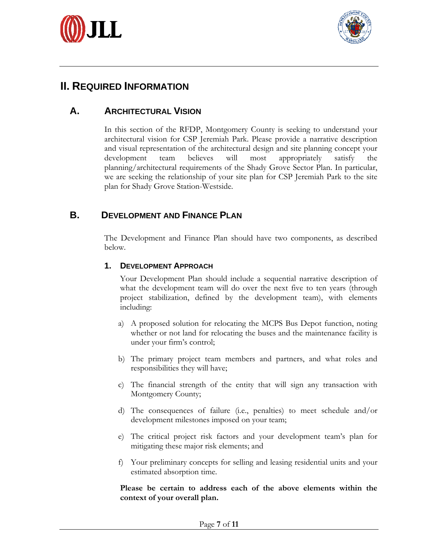



## **II. REQUIRED INFORMATION**

### **A. ARCHITECTURAL VISION**

In this section of the RFDP, Montgomery County is seeking to understand your architectural vision for CSP Jeremiah Park. Please provide a narrative description and visual representation of the architectural design and site planning concept your development team believes will most appropriately satisfy the planning/architectural requirements of the Shady Grove Sector Plan. In particular, we are seeking the relationship of your site plan for CSP Jeremiah Park to the site plan for Shady Grove Station-Westside.

#### **B. DEVELOPMENT AND FINANCE PLAN**

The Development and Finance Plan should have two components, as described below.

#### **1. DEVELOPMENT APPROACH**

Your Development Plan should include a sequential narrative description of what the development team will do over the next five to ten years (through project stabilization, defined by the development team), with elements including:

- a) A proposed solution for relocating the MCPS Bus Depot function, noting whether or not land for relocating the buses and the maintenance facility is under your firm's control;
- b) The primary project team members and partners, and what roles and responsibilities they will have;
- c) The financial strength of the entity that will sign any transaction with Montgomery County;
- d) The consequences of failure (i.e., penalties) to meet schedule and/or development milestones imposed on your team;
- e) The critical project risk factors and your development team's plan for mitigating these major risk elements; and
- f) Your preliminary concepts for selling and leasing residential units and your estimated absorption time.

**Please be certain to address each of the above elements within the context of your overall plan.**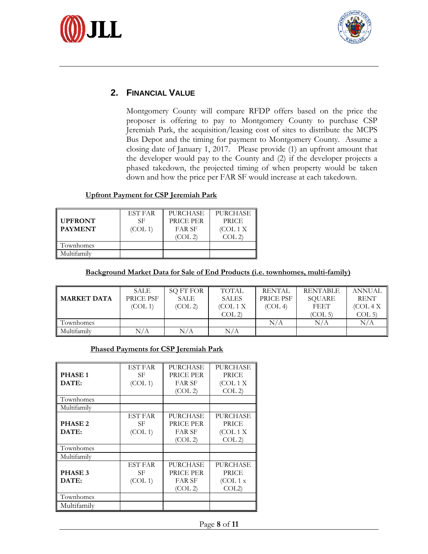



#### **2. FINANCIAL VALUE**

Montgomery County will compare RFDP offers based on the price the proposer is offering to pay to Montgomery County to purchase CSP Jeremiah Park, the acquisition/leasing cost of sites to distribute the MCPS Bus Depot and the timing for payment to Montgomery County. Assume a closing date of January 1, 2017. Please provide (1) an upfront amount that the developer would pay to the County and (2) if the developer projects a phased takedown, the projected timing of when property would be taken down and how the price per FAR SF would increase at each takedown.

#### **Upfront Payment for CSP Jeremiah Park**

| <b>UPFRONT</b><br><b>PAYMENT</b> | <b>EST FAR</b><br>SF<br>(COL 1) | <b>PURCHASE</b><br>PRICE PER<br>FAR SF<br>(COL 2) | <b>PURCHASE</b><br><b>PRICE</b><br>(COL 1 X)<br>COL2 |
|----------------------------------|---------------------------------|---------------------------------------------------|------------------------------------------------------|
| Townhomes                        |                                 |                                                   |                                                      |
| Multifamilv                      |                                 |                                                   |                                                      |

#### **Background Market Data for Sale of End Products (i.e. townhomes, multi-family)**

|                    | <b>SALE</b> | SQ FT FOR | TOTAL        | <b>RENTAL</b> | <b>RENTABLE</b>     | <b>ANNUAL</b>    |
|--------------------|-------------|-----------|--------------|---------------|---------------------|------------------|
| <b>MARKET DATA</b> | PRICE PSF   | SALE      | <b>SALES</b> | PRICE PSF     | SQUARE              | <b>RENT</b>      |
|                    | (COL 1)     | (COL 2)   | (COL 1 X)    | (COL 4)       | <b>FEET</b>         | (COL 4 X)        |
|                    |             |           | COL2         |               | (COL <sub>5</sub> ) | COL <sub>5</sub> |
| Townhomes          |             |           |              | N/A           | N/A                 | $\rm N/A$        |
| Multifamily        | N/A         | N/A       | N/A          |               |                     |                  |

#### **Phased Payments for CSP Jeremiah Park**

|                    | <b>EST FAR</b> | PURCHASE        | PURCHASE  |
|--------------------|----------------|-----------------|-----------|
| <b>PHASE1</b>      | SF             | PRICE PER       | PRICE     |
| DATE:              | (COL 1)        | <b>FAR SF</b>   | (COL 1 X) |
|                    |                | (COL2)          | COL2)     |
| Townhomes          |                |                 |           |
| Multifamily        |                |                 |           |
|                    | <b>EST FAR</b> | PURCHASE        | PURCHASE  |
| PHASE <sub>2</sub> | SF             | PRICE PER       | PRICE     |
| DATE:              | (COL 1)        | <b>FAR SF</b>   | (COL 1 X) |
|                    |                | (COL 2)         | COL2      |
| Townhomes          |                |                 |           |
| Multifamily        |                |                 |           |
|                    | <b>EST FAR</b> | <b>PURCHASE</b> | PURCHASE  |
| PHASE 3            | SF             | PRICE PER       | PRICE     |
| DATE:              | (COL 1)        | <b>FAR SF</b>   | (COL1 x)  |
|                    |                | (COL 2)         | COL2)     |
| Townhomes          |                |                 |           |
| Multifamily        |                |                 |           |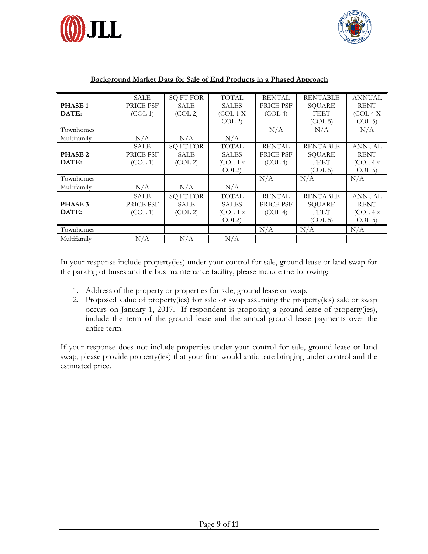



|                    | <b>SALE</b> | <b>SQ FT FOR</b> | <b>TOTAL</b> | <b>RENTAL</b> | <b>RENTABLE</b>     | <b>ANNUAL</b> |
|--------------------|-------------|------------------|--------------|---------------|---------------------|---------------|
| <b>PHASE1</b>      | PRICE PSF   | <b>SALE</b>      | <b>SALES</b> | PRICE PSF     | <b>SQUARE</b>       | <b>RENT</b>   |
| DATE:              | (COL 1)     | (COL2)           | (COL 1 X)    | (COL 4)       | <b>FEET</b>         | (COL 4 X)     |
|                    |             |                  | COL2         |               | (COL <sub>5</sub> ) | COL 5         |
| Townhomes          |             |                  |              | N/A           | N/A                 | N/A           |
| Multifamily        | N/A         | N/A              | N/A          |               |                     |               |
|                    | <b>SALE</b> | <b>SQ FT FOR</b> | <b>TOTAL</b> | <b>RENTAL</b> | <b>RENTABLE</b>     | <b>ANNUAL</b> |
| PHASE <sub>2</sub> | PRICE PSF   | <b>SALE</b>      | <b>SALES</b> | PRICE PSF     | <b>SQUARE</b>       | <b>RENT</b>   |
| DATE:              | (COL 1)     | (COL2)           | (COL1x)      | (COL 4)       | <b>FEET</b>         | (COL 4 x)     |
|                    |             |                  | COL2)        |               | (COL 5)             | COL 5         |
| Townhomes          |             |                  |              | N/A           | N/A                 | N/A           |
| Multifamily        | N/A         | N/A              | N/A          |               |                     |               |
|                    | <b>SALE</b> | <b>SQ FT FOR</b> | <b>TOTAL</b> | <b>RENTAL</b> | <b>RENTABLE</b>     | <b>ANNUAL</b> |
| PHASE 3            | PRICE PSF   | SALE             | <b>SALES</b> | PRICE PSF     | <b>SQUARE</b>       | <b>RENT</b>   |
| DATE:              | (COL 1)     | (COL2)           | (COL1x)      | (COL 4)       | <b>FEET</b>         | (COL 4 x)     |
|                    |             |                  | COL2)        |               | (COL <sub>5</sub> ) | COL 5)        |
| Townhomes          |             |                  |              | N/A           | N/A                 | N/A           |
| Multifamily        | N/A         | N/A              | N/A          |               |                     |               |

#### **Background Market Data for Sale of End Products in a Phased Approach**

In your response include property(ies) under your control for sale, ground lease or land swap for the parking of buses and the bus maintenance facility, please include the following:

- 1. Address of the property or properties for sale, ground lease or swap.
- 2. Proposed value of property(ies) for sale or swap assuming the property(ies) sale or swap occurs on January 1, 2017. If respondent is proposing a ground lease of property(ies), include the term of the ground lease and the annual ground lease payments over the entire term.

If your response does not include properties under your control for sale, ground lease or land swap, please provide property(ies) that your firm would anticipate bringing under control and the estimated price.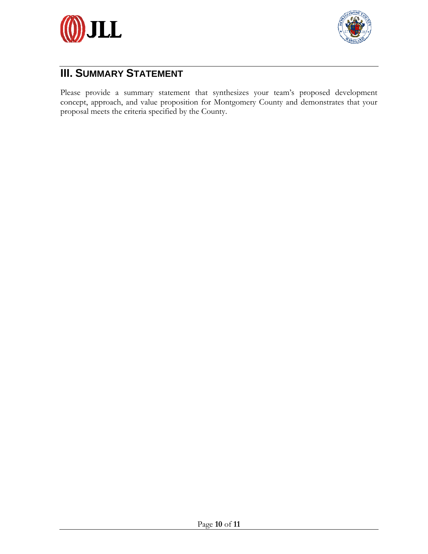



## **III. SUMMARY STATEMENT**

Please provide a summary statement that synthesizes your team's proposed development concept, approach, and value proposition for Montgomery County and demonstrates that your proposal meets the criteria specified by the County.